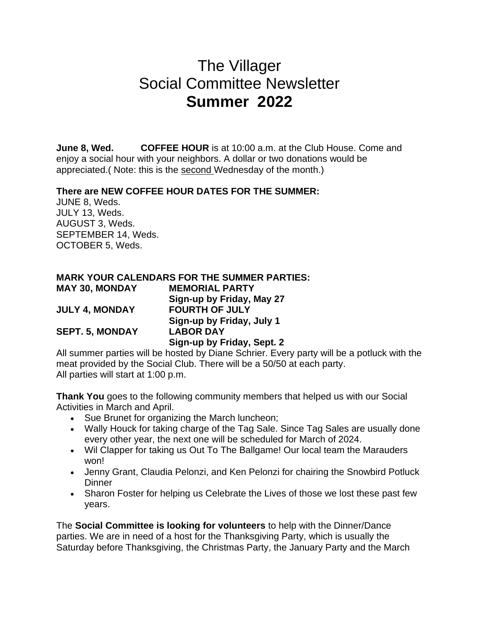## The Villager Social Committee Newsletter **Summer 2022**

**June 8, Wed. COFFEE HOUR** is at 10:00 a.m. at the Club House. Come and enjoy a social hour with your neighbors. A dollar or two donations would be appreciated.( Note: this is the second Wednesday of the month.)

## **There are NEW COFFEE HOUR DATES FOR THE SUMMER:**

JUNE 8, Weds. JULY 13, Weds. AUGUST 3, Weds. SEPTEMBER 14, Weds. OCTOBER 5, Weds.

|                        | <b>MARK YOUR CALENDARS FOR THE SUMMER PARTIES:</b> |
|------------------------|----------------------------------------------------|
| <b>MAY 30, MONDAY</b>  | <b>MEMORIAL PARTY</b>                              |
|                        | Sign-up by Friday, May 27                          |
| <b>JULY 4, MONDAY</b>  | <b>FOURTH OF JULY</b>                              |
|                        | Sign-up by Friday, July 1                          |
| <b>SEPT. 5, MONDAY</b> | <b>LABOR DAY</b>                                   |
|                        | Sign-up by Friday, Sept. 2                         |
|                        |                                                    |

All summer parties will be hosted by Diane Schrier. Every party will be a potluck with the meat provided by the Social Club. There will be a 50/50 at each party. All parties will start at 1:00 p.m.

**Thank You** goes to the following community members that helped us with our Social Activities in March and April.

- Sue Brunet for organizing the March luncheon;
- Wally Houck for taking charge of the Tag Sale. Since Tag Sales are usually done every other year, the next one will be scheduled for March of 2024.
- Wil Clapper for taking us Out To The Ballgame! Our local team the Marauders won!
- Jenny Grant, Claudia Pelonzi, and Ken Pelonzi for chairing the Snowbird Potluck **Dinner**
- Sharon Foster for helping us Celebrate the Lives of those we lost these past few years.

The **Social Committee is looking for volunteers** to help with the Dinner/Dance parties. We are in need of a host for the Thanksgiving Party, which is usually the Saturday before Thanksgiving, the Christmas Party, the January Party and the March